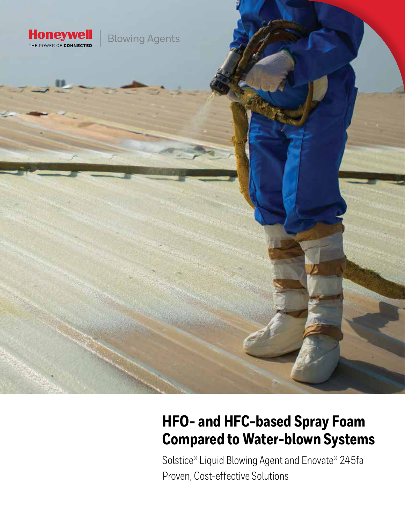

# **HFO- and HFC-based Spray Foam Compared to Water-blown Systems**

Solstice® Liquid Blowing Agent and Enovate® 245fa Proven, Cost-effective Solutions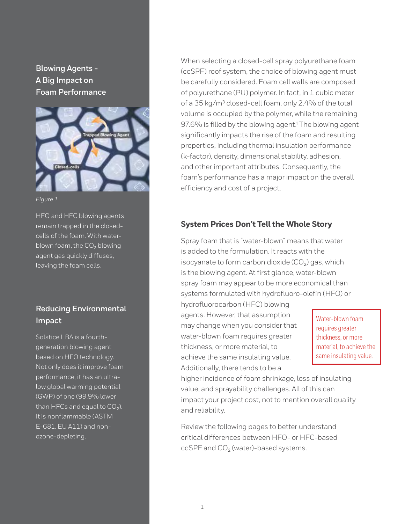**Blowing Agents - A Big Impact on Foam Performance** 



#### *Figure 1*

HFO and HFC blowing agents remain trapped in the closedcells of the foam. With waterblown foam, the  $CO<sub>2</sub>$  blowing agent gas quickly diffuses, leaving the foam cells.

## **Reducing Environmental Impact**

Solstice LBA is a fourthgeneration blowing agent based on HFO technology. Not only does it improve foam performance, it has an ultralow global warming potential (GWP) of one (99.9% lower than HFCs and equal to  $CO<sub>2</sub>$ ). It is nonflammable (ASTM E-681, EU A11) and nonozone-depleting.

When selecting a closed-cell spray polyurethane foam (ccSPF) roof system, the choice of blowing agent must be carefully considered. Foam cell walls are composed of polyurethane (PU) polymer. In fact, in 1 cubic meter of a 35 kg/m<sup>3</sup> closed-cell foam, only 2.4% of the total volume is occupied by the polymer, while the remaining 97.6% is filled by the blowing agent.<sup>1</sup> The blowing agent significantly impacts the rise of the foam and resulting properties, including thermal insulation performance (k-factor), density, dimensional stability, adhesion, and other important attributes. Consequently, the foam's performance has a major impact on the overall efficiency and cost of a project.

#### **System Prices Don't Tell the Whole Story**

Spray foam that is "water-blown" means that water is added to the formulation. It reacts with the isocyanate to form carbon dioxide  $(CO<sub>2</sub>)$  gas, which is the blowing agent. At first glance, water-blown spray foam may appear to be more economical than systems formulated with hydrofluoro-olefin (HFO) or

hydrofluorocarbon (HFC) blowing agents. However, that assumption may change when you consider that water-blown foam requires greater thickness, or more material, to achieve the same insulating value. Additionally, there tends to be a

Water-blown foam requires greater thickness, or more material, to achieve the same insulating value.

higher incidence of foam shrinkage, loss of insulating value, and sprayability challenges. All of this can impact your project cost, not to mention overall quality and reliability.

Review the following pages to better understand critical differences between HFO- or HFC-based ccSPF and  $CO<sub>2</sub>$  (water)-based systems.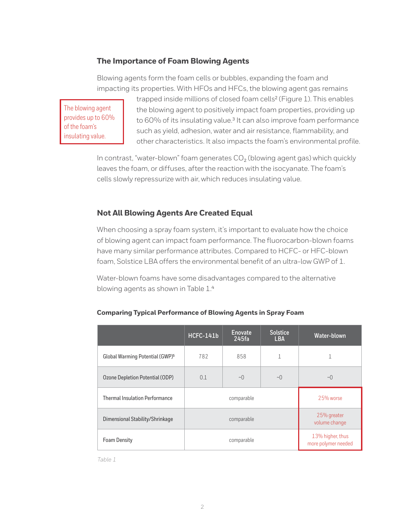## **The Importance of Foam Blowing Agents**

Blowing agents form the foam cells or bubbles, expanding the foam and impacting its properties. With HFOs and HFCs, the blowing agent gas remains

The blowing agent provides up to 60% of the foam's insulating value.

trapped inside millions of closed foam cells² (Figure 1). This enables the blowing agent to positively impact foam properties, providing up to 60% of its insulating value.<sup>3</sup> It can also improve foam performance such as yield, adhesion, water and air resistance, flammability, and other characteristics. It also impacts the foam's environmental profile.

In contrast, "water-blown" foam generates  $CO<sub>2</sub>$  (blowing agent gas) which quickly leaves the foam, or diffuses, after the reaction with the isocyanate. The foam's cells slowly repressurize with air, which reduces insulating value.

#### **Not All Blowing Agents Are Created Equal**

When choosing a spray foam system, it's important to evaluate how the choice of blowing agent can impact foam performance. The fluorocarbon-blown foams have many similar performance attributes. Compared to HCFC- or HFC-blown foam, Solstice LBA offers the environmental benefit of an ultra-low GWP of 1.

Water-blown foams have some disadvantages compared to the alternative blowing agents as shown in Table 1.4

|                                             | <b>HCFC-141b</b> | Enovate<br>245fa | <b>Solstice</b><br><b>LBA</b> | Water-blown                             |
|---------------------------------------------|------------------|------------------|-------------------------------|-----------------------------------------|
| Global Warming Potential (GWP) <sup>5</sup> | 782              | 858              |                               |                                         |
| Ozone Depletion Potential (ODP)             | 0.1              | $\sim$ $\cap$    | $\sim$ 0                      | $\sim$ ()                               |
| <b>Thermal Insulation Performance</b>       |                  | comparable       | 25% worse                     |                                         |
| Dimensional Stability/Shrinkage             | comparable       |                  |                               | 25% greater<br>volume change            |
| <b>Foam Density</b>                         | comparable       |                  |                               | 13% higher, thus<br>more polymer needed |

#### **Comparing Typical Performance of Blowing Agents in Spray Foam**

*Table 1*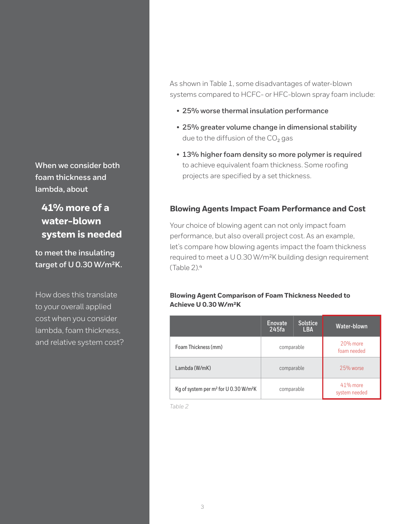**When we consider both foam thickness and lambda, about** 

 **41% more of a water-blown system is needed**

**to meet the insulating target of U 0.30 W/m²K.** 

How does this translate to your overall applied cost when you consider lambda, foam thickness, and relative system cost? As shown in Table 1, some disadvantages of water-blown systems compared to HCFC- or HFC-blown spray foam include:

- **25% worse thermal insulation performance**
- **25% greater volume change in dimensional stability** due to the diffusion of the  $CO<sub>2</sub>$  gas
- **13% higher foam density so more polymer is required** to achieve equivalent foam thickness. Some roofing projects are specified by a set thickness.

## **Blowing Agents Impact Foam Performance and Cost**

Your choice of blowing agent can not only impact foam performance, but also overall project cost. As an example, let's compare how blowing agents impact the foam thickness required to meet a U 0.30 W/m²K building design requirement  $(Table 2)<sup>4</sup>$ 

#### **Blowing Agent Comparison of Foam Thickness Needed to Achieve U 0.30 W/m²K**

|                                                               | <b>Enovate</b><br>245fa | <b>Solstice</b><br><b>LBA</b> | Water-blown                  |
|---------------------------------------------------------------|-------------------------|-------------------------------|------------------------------|
| Foam Thickness (mm)                                           | comparable              |                               | $20%$ more<br>foam needed    |
| Lambda (W/mK)                                                 | comparable              |                               | 25% worse                    |
| Kg of system per m <sup>2</sup> for U 0.30 W/m <sup>2</sup> K | comparable              |                               | $41\%$ more<br>system needed |

*Table 2*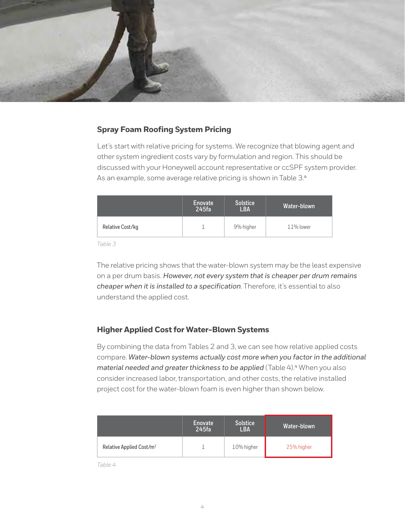

### **Spray Foam Roofing System Pricing**

Let's start with relative pricing for systems. We recognize that blowing agent and other system ingredient costs vary by formulation and region. This should be discussed with your Honeywell account representative or ccSPF system provider. As an example, some average relative pricing is shown in Table 3.4

|                  | Enovate<br>245fa | <b>Solstice</b><br><b>LBA</b> | Water-blown  |
|------------------|------------------|-------------------------------|--------------|
| Relative Cost/kg |                  | 9% higher                     | $11\%$ lower |

*Table 3*

The relative pricing shows that the water-blown system may be the least expensive on a per drum basis. *However, not every system that is cheaper per drum remains cheaper when it is installed to a specification*. Therefore, it's essential to also understand the applied cost.

#### **Higher Applied Cost for Water-Blown Systems**

By combining the data from Tables 2 and 3, we can see how relative applied costs compare. *Water-blown systems actually cost more when you factor in the additional material needed and greater thickness to be applied* (Table 4).<sup>4</sup> When you also consider increased labor, transportation, and other costs, the relative installed project cost for the water-blown foam is even higher than shown below.

|                                      | <b>Enovate</b><br>245fa | <b>Solstice</b><br>LBA | Water-blown |
|--------------------------------------|-------------------------|------------------------|-------------|
| Relative Applied Cost/m <sup>2</sup> |                         | 10% higher             | 25% higher  |

*Table 4*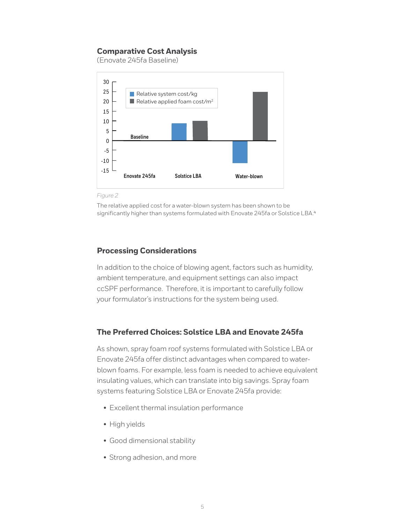## **Comparative Cost Analysis**

(Enovate 245fa Baseline)



*Figure 2*

The relative applied cost for a water-blown system has been shown to be significantly higher than systems formulated with Enovate 245fa or Solstice LBA.<sup>4</sup>

## **Processing Considerations**

In addition to the choice of blowing agent, factors such as humidity, ambient temperature, and equipment settings can also impact ccSPF performance. Therefore, it is important to carefully follow your formulator's instructions for the system being used.

## **The Preferred Choices: Solstice LBA and Enovate 245fa**

As shown, spray foam roof systems formulated with Solstice LBA or Enovate 245fa offer distinct advantages when compared to waterblown foams. For example, less foam is needed to achieve equivalent insulating values, which can translate into big savings. Spray foam systems featuring Solstice LBA or Enovate 245fa provide:

- Excellent thermal insulation performance
- High yields
- Good dimensional stability
- Strong adhesion, and more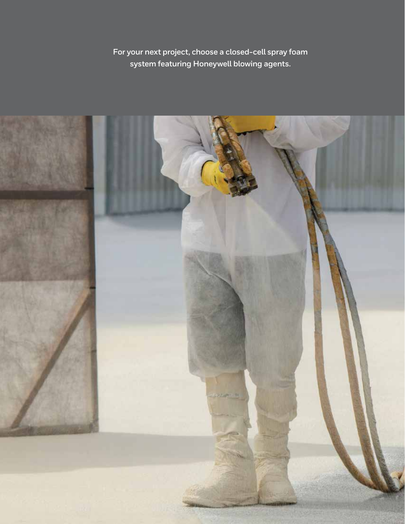**For your next project, choose a closed-cell spray foam system featuring Honeywell blowing agents.**